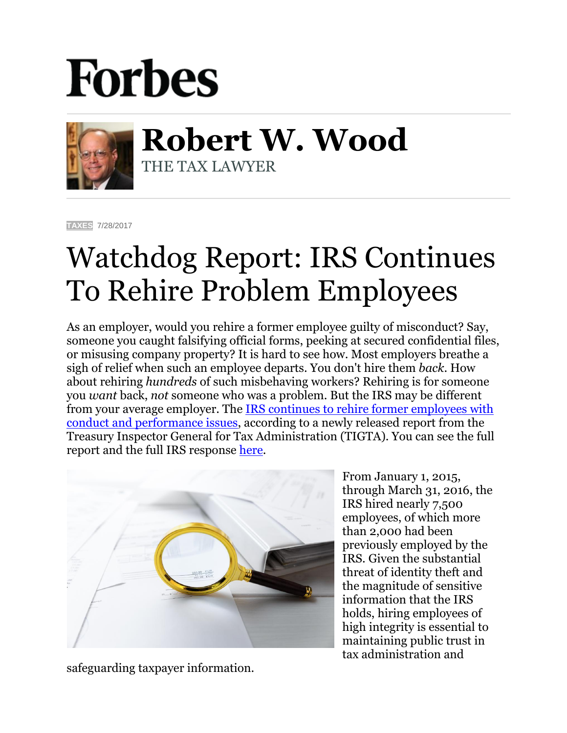## **Forbes**



**Robert W. Wood** THE TAX LAWYER

**[TAXES](https://www.forbes.com/taxes)** 7/28/2017

## Watchdog Report: IRS Continues To Rehire Problem Employees

As an employer, would you rehire a former employee guilty of misconduct? Say, someone you caught falsifying official forms, peeking at secured confidential files, or misusing company property? It is hard to see how. Most employers breathe a sigh of relief when such an employee departs. You don't hire them *back*. How about rehiring *hundreds* of such misbehaving workers? Rehiring is for someone you *want* back, *not* someone who was a problem. But the IRS may be different from your average employer. The [IRS continues to rehire former employees with](https://www.treasury.gov/tigta/auditreports/2017reports/201710035fr.pdf)  [conduct and performance issues,](https://www.treasury.gov/tigta/auditreports/2017reports/201710035fr.pdf) according to a newly released report from the Treasury Inspector General for Tax Administration (TIGTA). You can see the full report and the full IRS response [here.](https://www.treasury.gov/tigta/auditreports/2017reports/201710035fr.pdf)



safeguarding taxpayer information.

From January 1, 2015, through March 31, 2016, the IRS hired nearly 7,500 employees, of which more than 2,000 had been previously employed by the IRS. Given the substantial threat of identity theft and the magnitude of sensitive information that the IRS holds, hiring employees of high integrity is essential to maintaining public trust in tax administration and